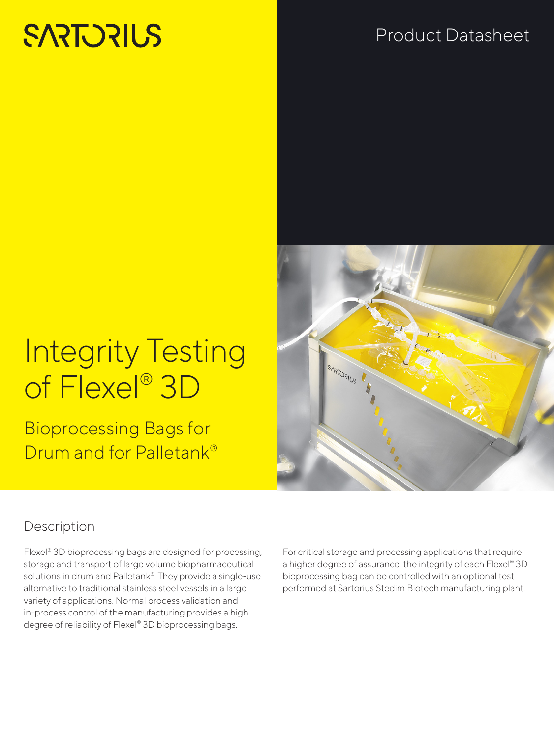# **SARTORILS**

## Product Datasheet

## Integrity Testing of Flexel® 3D

Bioprocessing Bags for Drum and for Palletank®

### Description

Flexel® 3D bioprocessing bags are designed for processing, storage and transport of large volume biopharmaceutical solutions in drum and Palletank®. They provide a single-use alternative to traditional stainless steel vessels in a large variety of applications. Normal process validation and in-process control of the manufacturing provides a high degree of reliability of Flexel® 3D bioprocessing bags.

For critical storage and processing applications that require a higher degree of assurance, the integrity of each Flexel® 3D bioprocessing bag can be controlled with an optional test performed at Sartorius Stedim Biotech manufacturing plant.

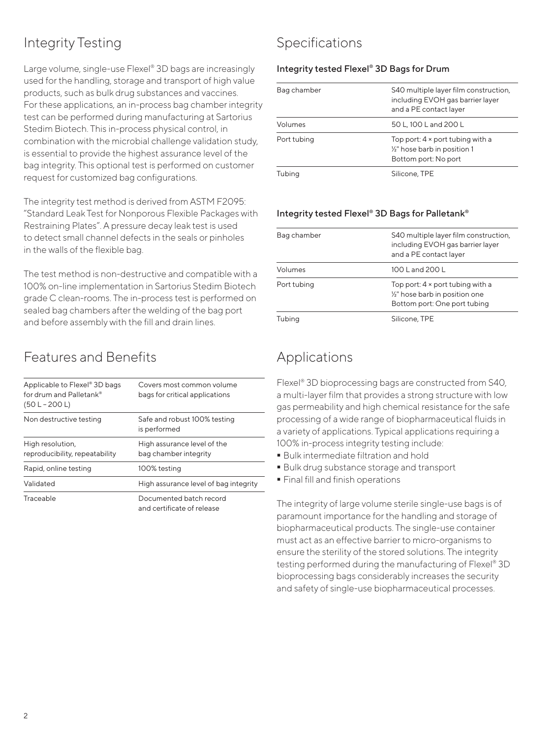## Integrity Testing

Large volume, single-use Flexel® 3D bags are increasingly used for the handling, storage and transport of high value products, such as bulk drug substances and vaccines. For these applications, an in-process bag chamber integrity test can be performed during manufacturing at Sartorius Stedim Biotech. This in-process physical control, in combination with the microbial challenge validation study, is essential to provide the highest assurance level of the bag integrity. This optional test is performed on customer request for customized bag configurations.

The integrity test method is derived from ASTM F2095: "Standard Leak Test for Nonporous Flexible Packages with Restraining Plates". A pressure decay leak test is used to detect small channel defects in the seals or pinholes in the walls of the flexible bag.

The test method is non-destructive and compatible with a 100% on-line implementation in Sartorius Stedim Biotech grade C clean-rooms. The in-process test is performed on sealed bag chambers after the welding of the bag port and before assembly with the fill and drain lines.

### Features and Benefits

| Applicable to Flexel® 3D bags<br>for drum and Palletank®<br>$(50 L - 200 L)$ | Covers most common volume<br>bags for critical applications |
|------------------------------------------------------------------------------|-------------------------------------------------------------|
| Non destructive testing                                                      | Safe and robust 100% testing<br>is performed                |
| High resolution,<br>reproducibility, repeatability                           | High assurance level of the<br>bag chamber integrity        |
| Rapid, online testing                                                        | 100% testing                                                |
| Validated                                                                    | High assurance level of bag integrity                       |
| Traceable                                                                    | Documented batch record<br>and certificate of release       |

### Specifications

#### Integrity tested Flexel® 3D Bags for Drum

| Bag chamber | S40 multiple layer film construction,<br>including EVOH gas barrier layer<br>and a PE contact layer          |
|-------------|--------------------------------------------------------------------------------------------------------------|
| Volumes     | 50 L, 100 L and 200 L                                                                                        |
| Port tubing | Top port: $4 \times$ port tubing with a<br>1/ <sub>2</sub> " hose barb in position 1<br>Bottom port: No port |
| Tubing      | Silicone, TPE                                                                                                |

#### Integrity tested Flexel® 3D Bags for Palletank®

| Bag chamber | S40 multiple layer film construction,<br>including EVOH gas barrier layer<br>and a PE contact layer                    |
|-------------|------------------------------------------------------------------------------------------------------------------------|
| Volumes     | 100 L and 200 L                                                                                                        |
| Port tubing | Top port: $4 \times$ port tubing with a<br>1/ <sub>2</sub> " hose barb in position one<br>Bottom port: One port tubing |
| Tubing      | Silicone, TPE                                                                                                          |

#### Applications

Flexel® 3D bioprocessing bags are constructed from S40, a multi-layer film that provides a strong structure with low gas permeability and high chemical resistance for the safe processing of a wide range of biopharmaceutical fluids in a variety of applications. Typical applications requiring a 100% in-process integrity testing include:

- Bulk intermediate filtration and hold
- Bulk drug substance storage and transport
- Final fill and finish operations

The integrity of large volume sterile single-use bags is of paramount importance for the handling and storage of biopharmaceutical products. The single-use container must act as an effective barrier to micro-organisms to ensure the sterility of the stored solutions. The integrity testing performed during the manufacturing of Flexel® 3D bioprocessing bags considerably increases the security and safety of single-use biopharmaceutical processes.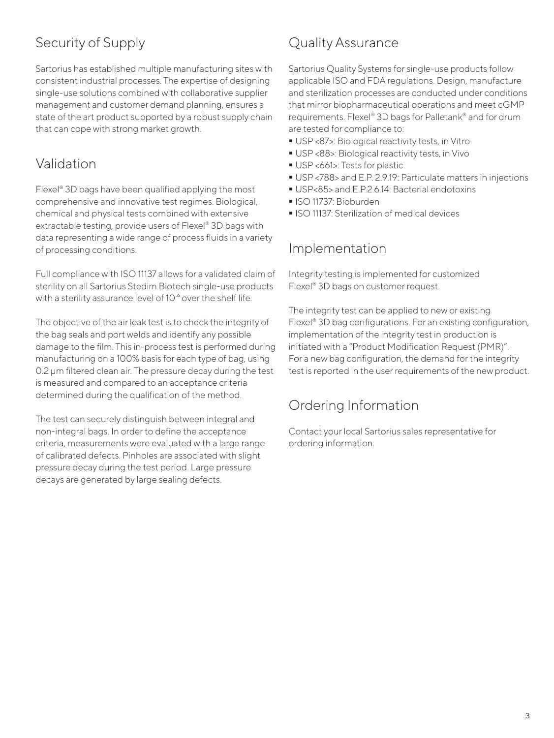## Security of Supply

Sartorius has established multiple manufacturing sites with consistent industrial processes. The expertise of designing single-use solutions combined with collaborative supplier management and customer demand planning, ensures a state of the art product supported by a robust supply chain that can cope with strong market growth.

#### Validation

Flexel® 3D bags have been qualified applying the most comprehensive and innovative test regimes. Biological, chemical and physical tests combined with extensive extractable testing, provide users of Flexel® 3D bags with data representing a wide range of process fluids in a variety of processing conditions.

Full compliance with ISO 11137 allows for a validated claim of sterility on all Sartorius Stedim Biotech single-use products with a sterility assurance level of 10 $^{\circ}$  over the shelf life.

The objective of the air leak test is to check the integrity of the bag seals and port welds and identify any possible damage to the film. This in-process test is performed during manufacturing on a 100% basis for each type of bag, using 0.2 μm filtered clean air. The pressure decay during the test is measured and compared to an acceptance criteria determined during the qualification of the method.

The test can securely distinguish between integral and non-integral bags. In order to define the acceptance criteria, measurements were evaluated with a large range of calibrated defects. Pinholes are associated with slight pressure decay during the test period. Large pressure decays are generated by large sealing defects.

### Quality Assurance

Sartorius Quality Systems for single-use products follow applicable ISO and FDA regulations. Design, manufacture and sterilization processes are conducted under conditions that mirror biopharmaceutical operations and meet cGMP requirements. Flexel® 3D bags for Palletank® and for drum are tested for compliance to:

- USP <87>: Biological reactivity tests, in Vitro
- USP <88>: Biological reactivity tests, in Vivo
- USP <661>: Tests for plastic
- USP <788> and E.P. 2.9.19: Particulate matters in injections
- USP<85> and E.P.2.6.14: Bacterial endotoxins
- ISO 11737: Bioburden
- ISO 11137: Sterilization of medical devices

#### Implementation

Integrity testing is implemented for customized Flexel® 3D bags on customer request.

The integrity test can be applied to new or existing Flexel® 3D bag configurations. For an existing configuration, implementation of the integrity test in production is initiated with a "Product Modification Request (PMR)". For a new bag configuration, the demand for the integrity test is reported in the user requirements of the new product.

#### Ordering Information

Contact your local Sartorius sales representative for ordering information.